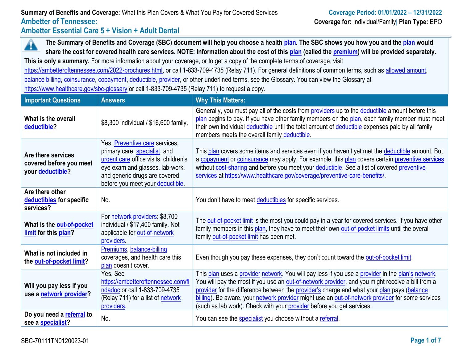# **Summary of Benefits and Coverage:** What this Plan Covers & What You Pay for Covered Services **Coverage Period: 01/01/2022 – 12/31/2022 Ambetter of Tennessee: Coverage for:** Individual/Family| **Plan Type:** EPO

**Ambetter Essential Care 5 + Vision + Adult Dental**

Â **The Summary of Benefits and Coverage (SBC) document will help you choose a health [plan.](https://www.healthcare.gov/sbc-glossary/#plan) The SBC shows you how you and the [plan](https://www.healthcare.gov/sbc-glossary/#plan) would share the cost for covered health care services. NOTE: Information about the cost of this [plan](https://www.healthcare.gov/sbc-glossary/#plan) (called the [premium\)](https://www.healthcare.gov/sbc-glossary/#premium) will be provided separately.**

**This is only a summary.** For more information about your coverage, or to get a copy of the complete terms of coverage, visit

[https://ambetteroftennessee.com/2022-brochures.html,](https://ambetteroftennessee.com/2022-brochures.html) or call 1-833-709-4735 (Relay 711). For general definitions of common terms, such as [allowed amount,](https://www.healthcare.gov/sbc-glossary/#allowed-amount) [balance billing,](https://www.healthcare.gov/sbc-glossary/#balance-billing) [coinsurance,](https://www.healthcare.gov/sbc-glossary/#coinsurance) [copayment,](https://www.healthcare.gov/sbc-glossary/#copayment) [deductible,](https://www.healthcare.gov/sbc-glossary/#deductible) [provider,](https://www.healthcare.gov/sbc-glossary/#provider) or other underlined terms, see the Glossary. You can view the Glossary at <https://www.healthcare.gov/sbc-glossary> or call 1-833-709-4735 (Relay 711) to request a copy.

| <b>Important Questions</b>                                        | <b>Answers</b>                                                                                                                                                                                                   | <b>Why This Matters:</b>                                                                                                                                                                                                                                                                                                                                                                                                                                                         |
|-------------------------------------------------------------------|------------------------------------------------------------------------------------------------------------------------------------------------------------------------------------------------------------------|----------------------------------------------------------------------------------------------------------------------------------------------------------------------------------------------------------------------------------------------------------------------------------------------------------------------------------------------------------------------------------------------------------------------------------------------------------------------------------|
| What is the overall<br>deductible?                                | \$8,300 individual / \$16,600 family.                                                                                                                                                                            | Generally, you must pay all of the costs from providers up to the deductible amount before this<br>plan begins to pay. If you have other family members on the plan, each family member must meet<br>their own individual deductible until the total amount of deductible expenses paid by all family<br>members meets the overall family deductible.                                                                                                                            |
| Are there services<br>covered before you meet<br>your deductible? | Yes. Preventive care services,<br>primary care, specialist, and<br>urgent care office visits, children's<br>eye exam and glasses, lab-work,<br>and generic drugs are covered<br>before you meet your deductible. | This plan covers some items and services even if you haven't yet met the deductible amount. But<br>a copayment or coinsurance may apply. For example, this plan covers certain preventive services<br>without cost-sharing and before you meet your deductible. See a list of covered preventive<br>services at https://www.healthcare.gov/coverage/preventive-care-benefits/.                                                                                                   |
| Are there other<br>deductibles for specific<br>services?          | No.                                                                                                                                                                                                              | You don't have to meet deductibles for specific services.                                                                                                                                                                                                                                                                                                                                                                                                                        |
| What is the out-of-pocket<br>limit for this plan?                 | For network providers: \$8,700<br>individual / \$17,400 family. Not<br>applicable for out-of-network<br>providers.                                                                                               | The out-of-pocket limit is the most you could pay in a year for covered services. If you have other<br>family members in this plan, they have to meet their own out-of-pocket limits until the overall<br>family out-of-pocket limit has been met.                                                                                                                                                                                                                               |
| What is not included in<br>the out-of-pocket limit?               | Premiums, balance-billing<br>coverages, and health care this<br>plan doesn't cover.                                                                                                                              | Even though you pay these expenses, they don't count toward the out-of-pocket limit.                                                                                                                                                                                                                                                                                                                                                                                             |
| Will you pay less if you<br>use a network provider?               | Yes, See<br>https://ambetteroftennessee.com/fi<br>ndadoc or call 1-833-709-4735<br>(Relay 711) for a list of network<br>providers.                                                                               | This plan uses a provider network. You will pay less if you use a provider in the plan's network.<br>You will pay the most if you use an out-of-network provider, and you might receive a bill from a<br>provider for the difference between the provider's charge and what your plan pays (balance<br>billing). Be aware, your network provider might use an out-of-network provider for some services<br>(such as lab work). Check with your provider before you get services. |
| Do you need a referral to<br>see a specialist?                    | No.                                                                                                                                                                                                              | You can see the specialist you choose without a referral.                                                                                                                                                                                                                                                                                                                                                                                                                        |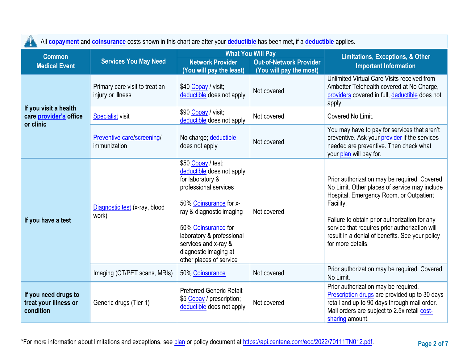4

All **[copayment](https://www.healthcare.gov/sbc-glossary/#copayment)** and **[coinsurance](https://www.healthcare.gov/sbc-glossary/#coinsurance)** costs shown in this chart are after your **[deductible](https://www.healthcare.gov/sbc-glossary/#deductible)** has been met, if a **[deductible](https://www.healthcare.gov/sbc-glossary/#deductible)** applies.

| <b>Common</b>                                                |                                                                                                                                                  |                                                                                                                                                                                                                                                                                    | <b>What You Will Pay</b> | <b>Limitations, Exceptions, &amp; Other</b>                                                                                                                                                                                                                                                                                      |  |  |
|--------------------------------------------------------------|--------------------------------------------------------------------------------------------------------------------------------------------------|------------------------------------------------------------------------------------------------------------------------------------------------------------------------------------------------------------------------------------------------------------------------------------|--------------------------|----------------------------------------------------------------------------------------------------------------------------------------------------------------------------------------------------------------------------------------------------------------------------------------------------------------------------------|--|--|
| <b>Medical Event</b>                                         | <b>Services You May Need</b><br><b>Network Provider</b><br><b>Out-of-Network Provider</b><br>(You will pay the least)<br>(You will pay the most) |                                                                                                                                                                                                                                                                                    |                          | <b>Important Information</b>                                                                                                                                                                                                                                                                                                     |  |  |
|                                                              | Primary care visit to treat an<br>injury or illness                                                                                              | \$40 Copay / visit;<br>deductible does not apply                                                                                                                                                                                                                                   | Not covered              | Unlimited Virtual Care Visits received from<br>Ambetter Telehealth covered at No Charge,<br>providers covered in full, deductible does not<br>apply.                                                                                                                                                                             |  |  |
| If you visit a health<br>care provider's office<br>or clinic | <b>Specialist visit</b>                                                                                                                          | \$90 Copay / visit;<br>deductible does not apply                                                                                                                                                                                                                                   | Not covered              | Covered No Limit.                                                                                                                                                                                                                                                                                                                |  |  |
|                                                              | Preventive care/screening/<br>immunization                                                                                                       | No charge; deductible<br>does not apply                                                                                                                                                                                                                                            | Not covered              | You may have to pay for services that aren't<br>preventive. Ask your provider if the services<br>needed are preventive. Then check what<br>your plan will pay for.                                                                                                                                                               |  |  |
| If you have a test                                           | Diagnostic test (x-ray, blood<br>work)                                                                                                           | \$50 Copay / test;<br>deductible does not apply<br>for laboratory &<br>professional services<br>50% Coinsurance for x-<br>ray & diagnostic imaging<br>50% Coinsurance for<br>laboratory & professional<br>services and x-ray &<br>diagnostic imaging at<br>other places of service | Not covered              | Prior authorization may be required. Covered<br>No Limit. Other places of service may include<br>Hospital, Emergency Room, or Outpatient<br>Facility.<br>Failure to obtain prior authorization for any<br>service that requires prior authorization will<br>result in a denial of benefits. See your policy<br>for more details. |  |  |
| Imaging (CT/PET scans, MRIs)                                 |                                                                                                                                                  | 50% Coinsurance                                                                                                                                                                                                                                                                    | Not covered              | Prior authorization may be required. Covered<br>No Limit.                                                                                                                                                                                                                                                                        |  |  |
| If you need drugs to<br>treat your illness or<br>condition   | Generic drugs (Tier 1)                                                                                                                           | <b>Preferred Generic Retail:</b><br>\$5 Copay / prescription;<br>deductible does not apply                                                                                                                                                                                         | Not covered              | Prior authorization may be required.<br>Prescription drugs are provided up to 30 days<br>retail and up to 90 days through mail order.<br>Mail orders are subject to 2.5x retail cost-<br>sharing amount.                                                                                                                         |  |  |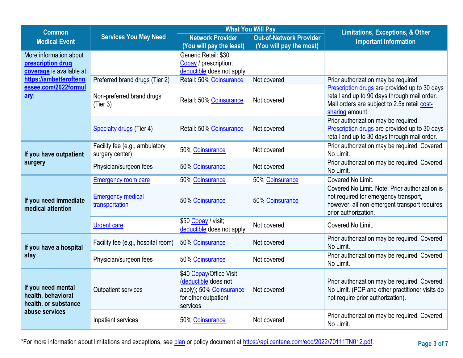| <b>Common</b>                                                    |                                                                                                    |                                                                                                                | <b>What You Will Pay</b>       | <b>Limitations, Exceptions, &amp; Other</b>                                                                                                                      |  |  |
|------------------------------------------------------------------|----------------------------------------------------------------------------------------------------|----------------------------------------------------------------------------------------------------------------|--------------------------------|------------------------------------------------------------------------------------------------------------------------------------------------------------------|--|--|
| <b>Medical Event</b>                                             | <b>Services You May Need</b>                                                                       | <b>Network Provider</b>                                                                                        | <b>Out-of-Network Provider</b> | <b>Important Information</b>                                                                                                                                     |  |  |
|                                                                  |                                                                                                    | (You will pay the least)                                                                                       | (You will pay the most)        |                                                                                                                                                                  |  |  |
| More information about                                           |                                                                                                    | Generic Retail: \$30                                                                                           |                                |                                                                                                                                                                  |  |  |
| prescription drug                                                |                                                                                                    | Copay / prescription;                                                                                          |                                |                                                                                                                                                                  |  |  |
| coverage is available at                                         |                                                                                                    | deductible does not apply                                                                                      |                                |                                                                                                                                                                  |  |  |
| https://ambetteroftenn                                           | Preferred brand drugs (Tier 2)                                                                     | Retail: 50% Coinsurance                                                                                        | Not covered                    | Prior authorization may be required.                                                                                                                             |  |  |
| essee.com/2022formul<br>ary                                      | Non-preferred brand drugs<br>(Tier 3)                                                              | Retail: 50% Coinsurance                                                                                        | Not covered                    | Prescription drugs are provided up to 30 days<br>retail and up to 90 days through mail order.<br>Mail orders are subject to 2.5x retail cost-<br>sharing amount. |  |  |
|                                                                  |                                                                                                    |                                                                                                                |                                | Prior authorization may be required.                                                                                                                             |  |  |
|                                                                  | Specialty drugs (Tier 4)                                                                           | Retail: 50% Coinsurance                                                                                        | Not covered                    | Prescription drugs are provided up to 30 days<br>retail and up to 30 days through mail order.                                                                    |  |  |
| If you have outpatient                                           | Facility fee (e.g., ambulatory<br>surgery center)                                                  | 50% Coinsurance                                                                                                | Not covered                    | Prior authorization may be required. Covered<br>No Limit.                                                                                                        |  |  |
| surgery                                                          | Physician/surgeon fees                                                                             |                                                                                                                | Not covered                    | Prior authorization may be required. Covered<br>No Limit.                                                                                                        |  |  |
|                                                                  | <b>Emergency room care</b>                                                                         | 50% Coinsurance                                                                                                | 50% Coinsurance                | Covered No Limit.                                                                                                                                                |  |  |
| If you need immediate<br>medical attention                       | <b>Emergency medical</b><br>transportation                                                         | 50% Coinsurance                                                                                                | 50% Coinsurance                | Covered No Limit. Note: Prior authorization is<br>not required for emergency transport,<br>however, all non-emergent transport requires<br>prior authorization.  |  |  |
|                                                                  | \$50 Copay / visit;<br><b>Urgent care</b><br>deductible does not apply                             |                                                                                                                | Not covered                    | Covered No Limit.                                                                                                                                                |  |  |
| If you have a hospital                                           | Facility fee (e.g., hospital room)<br>50% Coinsurance<br>Physician/surgeon fees<br>50% Coinsurance |                                                                                                                | Not covered                    | Prior authorization may be required. Covered<br>No Limit.                                                                                                        |  |  |
| stay                                                             |                                                                                                    |                                                                                                                | Not covered                    | Prior authorization may be required. Covered<br>No Limit.                                                                                                        |  |  |
| If you need mental<br>health, behavioral<br>health, or substance | <b>Outpatient services</b>                                                                         | \$40 Copay/Office Visit<br>(deductible does not<br>apply); 50% Coinsurance<br>for other outpatient<br>services | Not covered                    | Prior authorization may be required. Covered<br>No Limit. (PCP and other practitioner visits do<br>not require prior authorization).                             |  |  |
| abuse services                                                   | Inpatient services                                                                                 | 50% Coinsurance                                                                                                | Not covered                    | Prior authorization may be required. Covered<br>No Limit.                                                                                                        |  |  |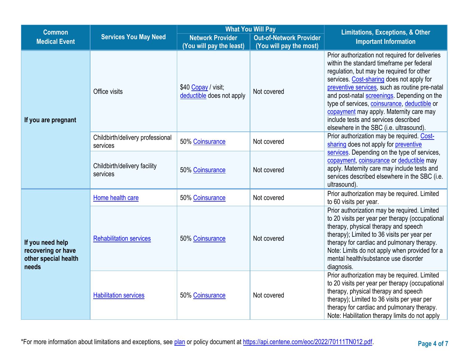| <b>Common</b>                                                           |                                              |                                                                 | <b>What You Will Pay</b>                                  | <b>Limitations, Exceptions, &amp; Other</b>                                                                                                                                                                                                                                                                                                                                                                                                                           |
|-------------------------------------------------------------------------|----------------------------------------------|-----------------------------------------------------------------|-----------------------------------------------------------|-----------------------------------------------------------------------------------------------------------------------------------------------------------------------------------------------------------------------------------------------------------------------------------------------------------------------------------------------------------------------------------------------------------------------------------------------------------------------|
| <b>Medical Event</b>                                                    | <b>Services You May Need</b>                 | <b>Network Provider</b><br>(You will pay the least)             | <b>Out-of-Network Provider</b><br>(You will pay the most) | <b>Important Information</b>                                                                                                                                                                                                                                                                                                                                                                                                                                          |
| If you are pregnant                                                     | Office visits                                | \$40 Copay / visit;<br>Not covered<br>deductible does not apply |                                                           | Prior authorization not required for deliveries<br>within the standard timeframe per federal<br>regulation, but may be required for other<br>services. Cost-sharing does not apply for<br>preventive services, such as routine pre-natal<br>and post-natal screenings. Depending on the<br>type of services, coinsurance, deductible or<br>copayment may apply. Maternity care may<br>include tests and services described<br>elsewhere in the SBC (i.e. ultrasound). |
|                                                                         | Childbirth/delivery professional<br>services | 50% Coinsurance                                                 | Not covered                                               | Prior authorization may be required. Cost-<br>sharing does not apply for preventive                                                                                                                                                                                                                                                                                                                                                                                   |
|                                                                         | Childbirth/delivery facility<br>services     | 50% Coinsurance                                                 | Not covered                                               | services. Depending on the type of services,<br>copayment, coinsurance or deductible may<br>apply. Maternity care may include tests and<br>services described elsewhere in the SBC (i.e.<br>ultrasound).                                                                                                                                                                                                                                                              |
|                                                                         | Home health care                             | 50% Coinsurance                                                 | Not covered                                               | Prior authorization may be required. Limited<br>to 60 visits per year.                                                                                                                                                                                                                                                                                                                                                                                                |
| If you need help<br>recovering or have<br>other special health<br>needs | <b>Rehabilitation services</b>               | 50% Coinsurance                                                 | Not covered                                               | Prior authorization may be required. Limited<br>to 20 visits per year per therapy (occupational<br>therapy, physical therapy and speech<br>therapy); Limited to 36 visits per year per<br>therapy for cardiac and pulmonary therapy.<br>Note: Limits do not apply when provided for a<br>mental health/substance use disorder<br>diagnosis.                                                                                                                           |
|                                                                         | <b>Habilitation services</b>                 | 50% Coinsurance                                                 | Not covered                                               | Prior authorization may be required. Limited<br>to 20 visits per year per therapy (occupational<br>therapy, physical therapy and speech<br>therapy); Limited to 36 visits per year per<br>therapy for cardiac and pulmonary therapy.<br>Note: Habilitation therapy limits do not apply                                                                                                                                                                                |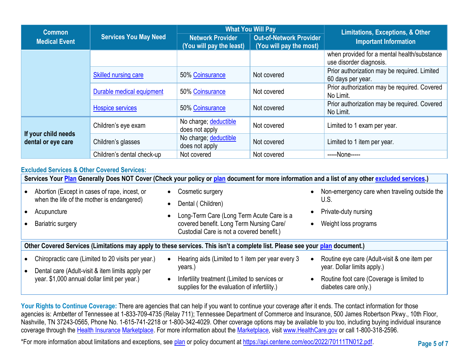| <b>Common</b>                                        |                            |                                                     | <b>What You Will Pay</b>                                  | <b>Limitations, Exceptions, &amp; Other</b>                            |  |
|------------------------------------------------------|----------------------------|-----------------------------------------------------|-----------------------------------------------------------|------------------------------------------------------------------------|--|
| <b>Services You May Need</b><br><b>Medical Event</b> |                            | <b>Network Provider</b><br>(You will pay the least) | <b>Out-of-Network Provider</b><br>(You will pay the most) | <b>Important Information</b>                                           |  |
|                                                      |                            |                                                     |                                                           | when provided for a mental health/substance<br>use disorder diagnosis. |  |
|                                                      | Skilled nursing care       | 50% Coinsurance                                     | Not covered                                               | Prior authorization may be required. Limited<br>60 days per year.      |  |
|                                                      | Durable medical equipment  | 50% Coinsurance                                     | Not covered                                               | Prior authorization may be required. Covered<br>No Limit.              |  |
|                                                      | <b>Hospice services</b>    | 50% Coinsurance                                     | Not covered                                               | Prior authorization may be required. Covered<br>No Limit.              |  |
|                                                      | Children's eye exam        | No charge; deductible<br>does not apply             | Not covered                                               | Limited to 1 exam per year.                                            |  |
| If your child needs<br>dental or eye care            | Children's glasses         | No charge; deductible<br>does not apply             | Not covered                                               | Limited to 1 item per year.                                            |  |
|                                                      | Children's dental check-up | Not covered                                         | Not covered                                               | -----None-----                                                         |  |

### **Excluded Services & Other Covered Services:**

| Services Your Plan Generally Does NOT Cover (Check your policy or plan document for more information and a list of any other excluded services.) |           |                                                                                                                                                                             |           |                                                                                                       |  |
|--------------------------------------------------------------------------------------------------------------------------------------------------|-----------|-----------------------------------------------------------------------------------------------------------------------------------------------------------------------------|-----------|-------------------------------------------------------------------------------------------------------|--|
| Abortion (Except in cases of rape, incest, or<br>when the life of the mother is endangered)<br>Acupuncture<br><b>Bariatric surgery</b>           | $\bullet$ | Cosmetic surgery<br>Dental (Children)<br>Long-Term Care (Long Term Acute Care is a<br>covered benefit. Long Term Nursing Care/<br>Custodial Care is not a covered benefit.) | $\bullet$ | Non-emergency care when traveling outside the<br>U.S.<br>Private-duty nursing<br>Weight loss programs |  |
| Other Covered Services (Limitations may apply to these services. This isn't a complete list. Please see your plan document.)                     |           |                                                                                                                                                                             |           |                                                                                                       |  |
| Chiropractic care (Limited to 20 visits per year.)<br>Dental care (Adult-visit & item limits apply per                                           |           | Hearing aids (Limited to 1 item per year every 3<br>years.)                                                                                                                 | $\bullet$ | Routine eye care (Adult-visit & one item per<br>year. Dollar limits apply.)                           |  |
| year. \$1,000 annual dollar limit per year.)                                                                                                     |           | Infertility treatment (Limited to services or<br>supplies for the evaluation of infertility.)                                                                               | $\bullet$ | Routine foot care (Coverage is limited to<br>diabetes care only.)                                     |  |

Your Rights to Continue Coverage: There are agencies that can help if you want to continue your coverage after it ends. The contact information for those agencies is: Ambetter of Tennessee at 1-833-709-4735 (Relay 711); Tennessee Department of Commerce and Insurance, 500 James Robertson Pkwy., 10th Floor, Nashville, TN 37243-0565, Phone No. 1-615-741-2218 or 1-800-342-4029. Other coverage options may be available to you too, including buying individual insurance coverage through the [Health Insurance](https://www.healthcare.gov/sbc-glossary/#health-insurance) [Marketplace.](https://www.healthcare.gov/sbc-glossary/#marketplace) For more information about the [Marketplace,](https://www.healthcare.gov/sbc-glossary/#marketplace) visit [www.HealthCare.gov](http://www.healthcare.gov/) or call 1-800-318-2596.

\*For more information about limitations and exceptions, see [plan](https://www.healthcare.gov/sbc-glossary/#plan) or policy document at [https://api.centene.com/eoc/2022/70111TN012.pdf.](https://api.centene.com/eoc/2022/70111TN012.pdf)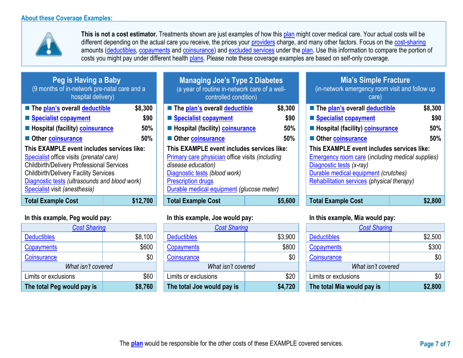

**This is not a cost estimator.** Treatments shown are just examples of how this [plan](https://www.healthcare.gov/sbc-glossary/#plan) might cover medical care. Your actual costs will be different depending on the actual care you receive, the prices your [providers](https://www.healthcare.gov/sbc-glossary/#provider) charge, and many other factors. Focus on the [cost-sharing](https://www.healthcare.gov/sbc-glossary/#cost-sharing) amounts [\(deductibles,](https://www.healthcare.gov/sbc-glossary/#deductible) [copayments](https://www.healthcare.gov/sbc-glossary/#copayment) and [coinsurance\)](https://www.healthcare.gov/sbc-glossary/#coinsurance) and [excluded services](https://www.healthcare.gov/sbc-glossary/#excluded-services) under the [plan.](https://www.healthcare.gov/sbc-glossary/#plan) Use this information to compare the portion of costs you might pay under different health [plans.](https://www.healthcare.gov/sbc-glossary/#plan) Please note these coverage examples are based on self-only coverage.

| Peg is Having a Baby<br>(9 months of in-network pre-natal care and a<br>hospital delivery)                                                                                                                                                                                   |         |  |  |  |  |
|------------------------------------------------------------------------------------------------------------------------------------------------------------------------------------------------------------------------------------------------------------------------------|---------|--|--|--|--|
| The plan's overall deductible                                                                                                                                                                                                                                                | \$8,300 |  |  |  |  |
| <b>Specialist copayment</b>                                                                                                                                                                                                                                                  | \$90    |  |  |  |  |
| <b>E</b> Hospital (facility) coinsurance                                                                                                                                                                                                                                     | 50%     |  |  |  |  |
| 50%<br>Other coinsurance                                                                                                                                                                                                                                                     |         |  |  |  |  |
| This EXAMPLE event includes services like:<br>Specialist office visits (prenatal care)<br><b>Childbirth/Delivery Professional Services</b><br><b>Childbirth/Delivery Facility Services</b><br>Diagnostic tests (ultrasounds and blood work)<br>Specialist visit (anesthesia) |         |  |  |  |  |
| Tatal Evample Caet                                                                                                                                                                                                                                                           | e49 700 |  |  |  |  |

|                            | <b>Cost Sharing</b> |  |  |  |  |
|----------------------------|---------------------|--|--|--|--|
| <b>Deductibles</b>         | \$8,100             |  |  |  |  |
| Copayments                 | \$600               |  |  |  |  |
| Coinsurance                | \$0                 |  |  |  |  |
| What isn't covered         |                     |  |  |  |  |
| Limits or exclusions       | \$60                |  |  |  |  |
| The total Peg would pay is | \$8,760             |  |  |  |  |

| Peg is Having a Baby<br>(9 months of in-network pre-natal care and a<br>hospital delivery)                                                                                                                                                                                   |                               | <b>Managing Joe's Type 2 Diabetes</b><br>(a year of routine in-network care of a well-<br>controlled condition)                                                                                                                |                               | Mia's Simple Fracture<br>(in-network emergency room visit and follow up<br>care)                                                                                                                                        |                               |
|------------------------------------------------------------------------------------------------------------------------------------------------------------------------------------------------------------------------------------------------------------------------------|-------------------------------|--------------------------------------------------------------------------------------------------------------------------------------------------------------------------------------------------------------------------------|-------------------------------|-------------------------------------------------------------------------------------------------------------------------------------------------------------------------------------------------------------------------|-------------------------------|
| The plan's overall deductible<br>Specialist copayment<br><b>E</b> Hospital (facility) <b>coinsurance</b><br>Other coinsurance                                                                                                                                                | \$8,300<br>\$90<br>50%<br>50% | ■ The plan's overall deductible<br>Specialist copayment<br><b>E</b> Hospital (facility) <b>coinsurance</b><br>Other coinsurance                                                                                                | \$8,300<br>\$90<br>50%<br>50% | ■ The plan's overall deductible<br>Specialist copayment<br>Hospital (facility) coinsurance<br>Other coinsurance                                                                                                         | \$8,300<br>\$90<br>50%<br>50% |
| This EXAMPLE event includes services like:<br>Specialist office visits (prenatal care)<br><b>Childbirth/Delivery Professional Services</b><br><b>Childbirth/Delivery Facility Services</b><br>Diagnostic tests (ultrasounds and blood work)<br>Specialist visit (anesthesia) |                               | This EXAMPLE event includes services like:<br>Primary care physician office visits (including<br>disease education)<br>Diagnostic tests (blood work)<br><b>Prescription drugs</b><br>Durable medical equipment (glucose meter) |                               | This EXAMPLE event includes services like:<br><b>Emergency room care (including medical supplies)</b><br>Diagnostic tests (x-ray)<br>Durable medical equipment (crutches)<br>Rehabilitation services (physical therapy) |                               |
| <b>Total Example Cost</b>                                                                                                                                                                                                                                                    | \$12,700                      | <b>Total Example Cost</b>                                                                                                                                                                                                      | \$5,600                       | <b>Total Example Cost</b>                                                                                                                                                                                               | \$2,800                       |

| <b>Cost Sharing</b>        |         | <b>Cost Sharing</b>        |         | <b>Cost Sharing</b>        |         |
|----------------------------|---------|----------------------------|---------|----------------------------|---------|
| <b>Deductibles</b>         | \$8,100 | <b>Deductibles</b>         | \$3,900 | <b>Deductibles</b>         | \$2,500 |
| <b>Copayments</b>          | \$600   | Copayments                 | \$800   | Copayments                 | \$300   |
| Coinsurance                | \$0     | Coinsurance                | \$0     | Coinsurance                | \$0     |
| What isn't covered         |         | What isn't covered         |         | What isn't covered         |         |
| Limits or exclusions       | \$60    | Limits or exclusions       | \$20    | Limits or exclusions       | \$0     |
| The total Peg would pay is | \$8,760 | The total Joe would pay is | \$4,720 | The total Mia would pay is | \$2,800 |

# **Mia's Simple Fracture** (in-network emergency room visit and follow up care)

| Diagnostic tests (ultrasounds and blood work)<br>Specialist visit (anesthesia)               |         |                               | <b>Prescription drugs</b><br>Durable medical equipment (glucose meter) |                                      | Rehabilitation services (physical therapy)                                          |         |  |
|----------------------------------------------------------------------------------------------|---------|-------------------------------|------------------------------------------------------------------------|--------------------------------------|-------------------------------------------------------------------------------------|---------|--|
| <b>Childbirth/Delivery Facility Services</b>                                                 |         | Diagnostic tests (blood work) |                                                                        | Durable medical equipment (crutches) |                                                                                     |         |  |
| Specialist office visits (prenatal care)<br><b>Childbirth/Delivery Professional Services</b> |         |                               | Primary care physician office visits (including<br>disease education)  |                                      | <b>Emergency room care (including medical supplies)</b><br>Diagnostic tests (x-ray) |         |  |
| This EXAMPLE event includes services like:                                                   |         |                               | This EXAMPLE event includes services like:                             |                                      | This EXAMPLE event includes services like:                                          |         |  |
| Other coinsurance                                                                            | 50%     |                               | Other coinsurance                                                      | 50%                                  | Other coinsurance                                                                   | 50%     |  |
| Hospital (facility) coinsurance                                                              | 50%     |                               | <b>E</b> Hospital (facility) <b>coinsurance</b>                        | 50%                                  | <b>E</b> Hospital (facility) <b>coinsurance</b>                                     | 50%     |  |
| Specialist copayment                                                                         | \$90    |                               | Specialist copayment                                                   | \$90                                 | Specialist copayment                                                                | \$90    |  |
| The plan's overall deductible                                                                | \$8,300 |                               | The plan's overall deductible                                          | \$8,300                              | The plan's overall deductible                                                       | \$8,300 |  |

## **In this example, Peg would pay: In this example, Joe would pay: In this example, Mia would pay:**

| <b>Cost Sharing</b>        |         |  |  |  |  |
|----------------------------|---------|--|--|--|--|
| <b>Deductibles</b>         | \$2,500 |  |  |  |  |
| Copayments                 | \$300   |  |  |  |  |
| Coinsurance                | \$0     |  |  |  |  |
| What isn't covered         |         |  |  |  |  |
| Limits or exclusions       | \$0     |  |  |  |  |
| The total Mia would pay is | \$2,800 |  |  |  |  |